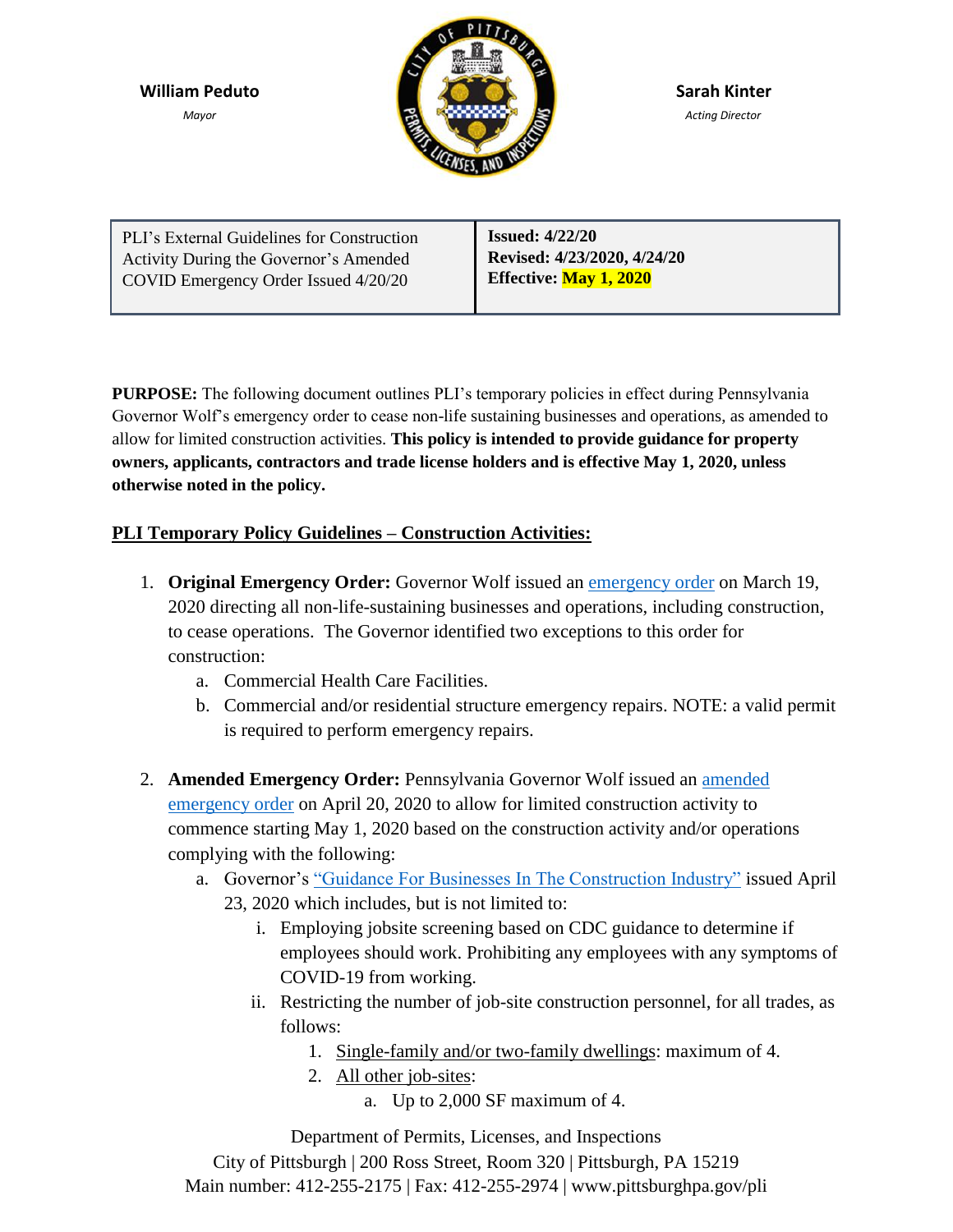**William Peduto**

*Mayor*



**Sarah Kinter** *Acting Director*

| PLI's External Guidelines for Construction | <b>Issued: 4/22/20</b>        |
|--------------------------------------------|-------------------------------|
| Activity During the Governor's Amended     | Revised: 4/23/2020, 4/24/20   |
| COVID Emergency Order Issued 4/20/20       | <b>Effective:</b> May 1, 2020 |
|                                            |                               |

**PURPOSE:** The following document outlines PLI's temporary policies in effect during Pennsylvania Governor Wolf's emergency order to cease non-life sustaining businesses and operations, as amended to allow for limited construction activities. **This policy is intended to provide guidance for property owners, applicants, contractors and trade license holders and is effective May 1, 2020, unless otherwise noted in the policy.**

## **PLI Temporary Policy Guidelines – Construction Activities:**

- 1. **Original Emergency Order:** Governor Wolf issued an [emergency order](https://www.scribd.com/document/452416027/20200319-TWW-COVID-19-Business-Closure-Order) on March 19, 2020 directing all non-life-sustaining businesses and operations, including construction, to cease operations. The Governor identified two exceptions to this order for construction:
	- a. Commercial Health Care Facilities.
	- b. Commercial and/or residential structure emergency repairs. NOTE: a valid permit is required to perform emergency repairs.
- 2. **Amended Emergency Order:** Pennsylvania Governor Wolf issued an [amended](https://www.scribd.com/document/457361390/04-20-20-GOV-Business-Closure-Order-Amendment) [emergency order](https://www.scribd.com/document/457361390/04-20-20-GOV-Business-Closure-Order-Amendment) on April 20, 2020 to allow for limited construction activity to commence starting May 1, 2020 based on the construction activity and/or operations complying with the following:
	- a. Governor's ["Guidance For Businesses In The Construction Industry"](https://www.governor.pa.gov/wp-content/uploads/2020/04/20200423-Construction-Industry-Guidance.pdf) issued April 23, 2020 which includes, but is not limited to:
		- i. Employing jobsite screening based on CDC guidance to determine if employees should work. Prohibiting any employees with any symptoms of COVID-19 from working.
		- ii. Restricting the number of job-site construction personnel, for all trades, as follows:
			- 1. Single-family and/or two-family dwellings: maximum of 4.
			- 2. All other job-sites:
				- a. Up to 2,000 SF maximum of 4.

Department of Permits, Licenses, and Inspections City of Pittsburgh | 200 Ross Street, Room 320 | Pittsburgh, PA 15219 Main number: 412-255-2175 | Fax: 412-255-2974 | www.pittsburghpa.gov/pli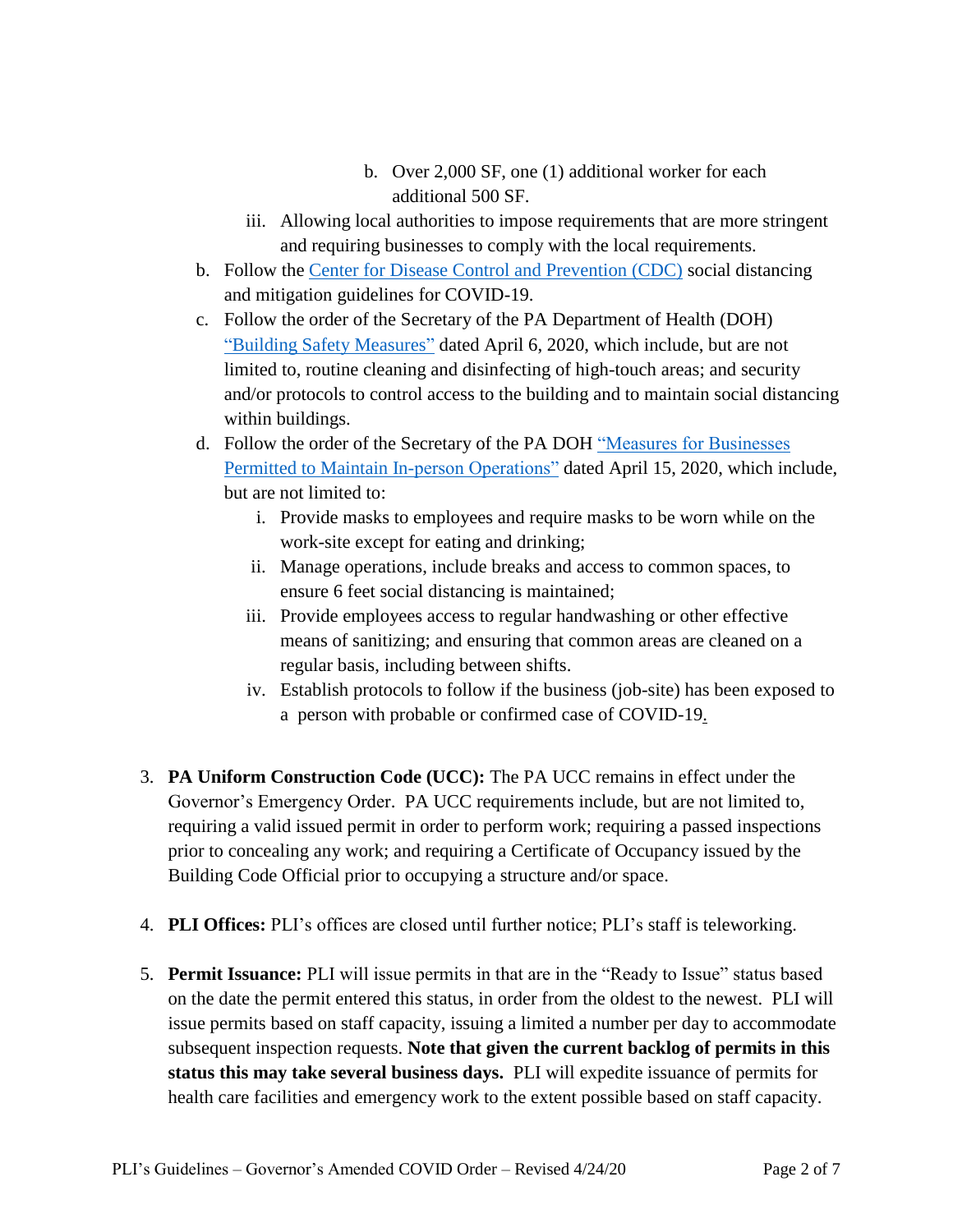- b. Over 2,000 SF, one (1) additional worker for each additional 500 SF.
- iii. Allowing local authorities to impose requirements that are more stringent and requiring businesses to comply with the local requirements.
- b. Follow the [Center for Disease Control and Prevention \(CDC\)](https://www.cdc.gov/coronavirus/2019-ncov/communication/guidance-list.html?Sort=Date%3A%3Adesc) social distancing and mitigation guidelines for COVID-19.
- c. Follow the order of the Secretary of the PA Department of Health (DOH) ["Building Safety Measures"](https://www.governor.pa.gov/wp-content/uploads/2020/04/20200405-SOH-Building-Safety-Measures.pdf) dated April 6, 2020, which include, but are not limited to, routine cleaning and disinfecting of high-touch areas; and security and/or protocols to control access to the building and to maintain social distancing within buildings.
- d. Follow the order of the Secretary of the PA DOH ["Measures for Businesses](https://www.governor.pa.gov/wp-content/uploads/2020/04/20200415-SOH-worker-safety-order.pdf)  [Permitted to Maintain In-person Operations"](https://www.governor.pa.gov/wp-content/uploads/2020/04/20200415-SOH-worker-safety-order.pdf) dated April 15, 2020, which include, but are not limited to:
	- i. Provide masks to employees and require masks to be worn while on the work-site except for eating and drinking;
	- ii. Manage operations, include breaks and access to common spaces, to ensure 6 feet social distancing is maintained;
	- iii. Provide employees access to regular handwashing or other effective means of sanitizing; and ensuring that common areas are cleaned on a regular basis, including between shifts.
	- iv. Establish protocols to follow if the business (job-site) has been exposed to a person with probable or confirmed case of COVID-19.
- 3. **PA Uniform Construction Code (UCC):** The PA UCC remains in effect under the Governor's Emergency Order. PA UCC requirements include, but are not limited to, requiring a valid issued permit in order to perform work; requiring a passed inspections prior to concealing any work; and requiring a Certificate of Occupancy issued by the Building Code Official prior to occupying a structure and/or space.
- 4. **PLI Offices:** PLI's offices are closed until further notice; PLI's staff is teleworking.
- 5. **Permit Issuance:** PLI will issue permits in that are in the "Ready to Issue" status based on the date the permit entered this status, in order from the oldest to the newest. PLI will issue permits based on staff capacity, issuing a limited a number per day to accommodate subsequent inspection requests. **Note that given the current backlog of permits in this status this may take several business days.** PLI will expedite issuance of permits for health care facilities and emergency work to the extent possible based on staff capacity.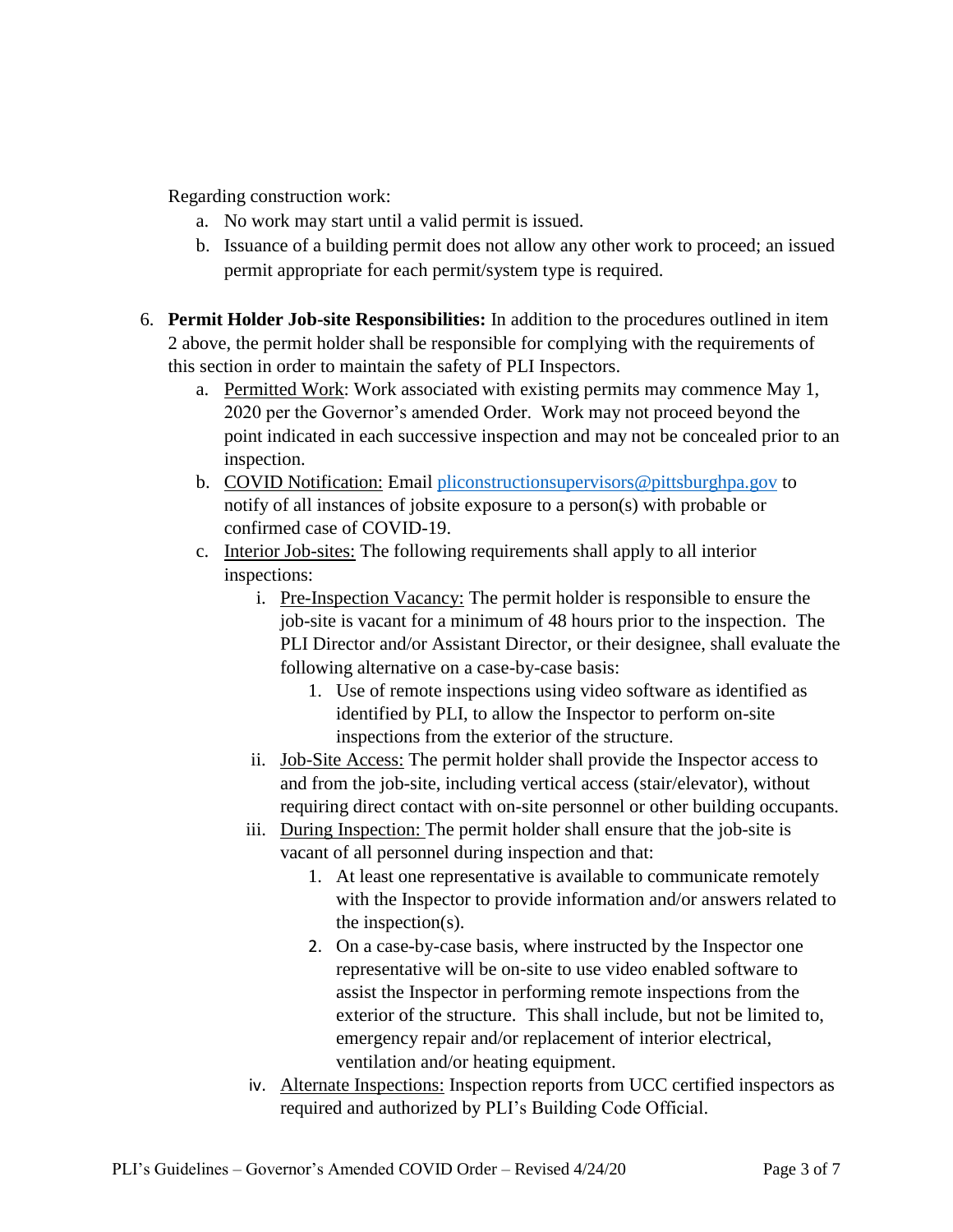Regarding construction work:

- a. No work may start until a valid permit is issued.
- b. Issuance of a building permit does not allow any other work to proceed; an issued permit appropriate for each permit/system type is required.
- 6. **Permit Holder Job-site Responsibilities:** In addition to the procedures outlined in item 2 above, the permit holder shall be responsible for complying with the requirements of this section in order to maintain the safety of PLI Inspectors.
	- a. Permitted Work: Work associated with existing permits may commence May 1, 2020 per the Governor's amended Order. Work may not proceed beyond the point indicated in each successive inspection and may not be concealed prior to an inspection.
	- b. COVID Notification: Email [pliconstructionsupervisors@pittsburghpa.gov](mailto:pliconstructionsupervisors@pittsburghpa.gov) to notify of all instances of jobsite exposure to a person(s) with probable or confirmed case of COVID-19.
	- c. Interior Job-sites: The following requirements shall apply to all interior inspections:
		- i. Pre-Inspection Vacancy: The permit holder is responsible to ensure the job-site is vacant for a minimum of 48 hours prior to the inspection. The PLI Director and/or Assistant Director, or their designee, shall evaluate the following alternative on a case-by-case basis:
			- 1. Use of remote inspections using video software as identified as identified by PLI, to allow the Inspector to perform on-site inspections from the exterior of the structure.
		- ii. Job-Site Access: The permit holder shall provide the Inspector access to and from the job-site, including vertical access (stair/elevator), without requiring direct contact with on-site personnel or other building occupants.
		- iii. During Inspection: The permit holder shall ensure that the job-site is vacant of all personnel during inspection and that:
			- 1. At least one representative is available to communicate remotely with the Inspector to provide information and/or answers related to the inspection(s).
			- 2. On a case-by-case basis, where instructed by the Inspector one representative will be on-site to use video enabled software to assist the Inspector in performing remote inspections from the exterior of the structure. This shall include, but not be limited to, emergency repair and/or replacement of interior electrical, ventilation and/or heating equipment.
		- iv. Alternate Inspections: Inspection reports from UCC certified inspectors as required and authorized by PLI's Building Code Official.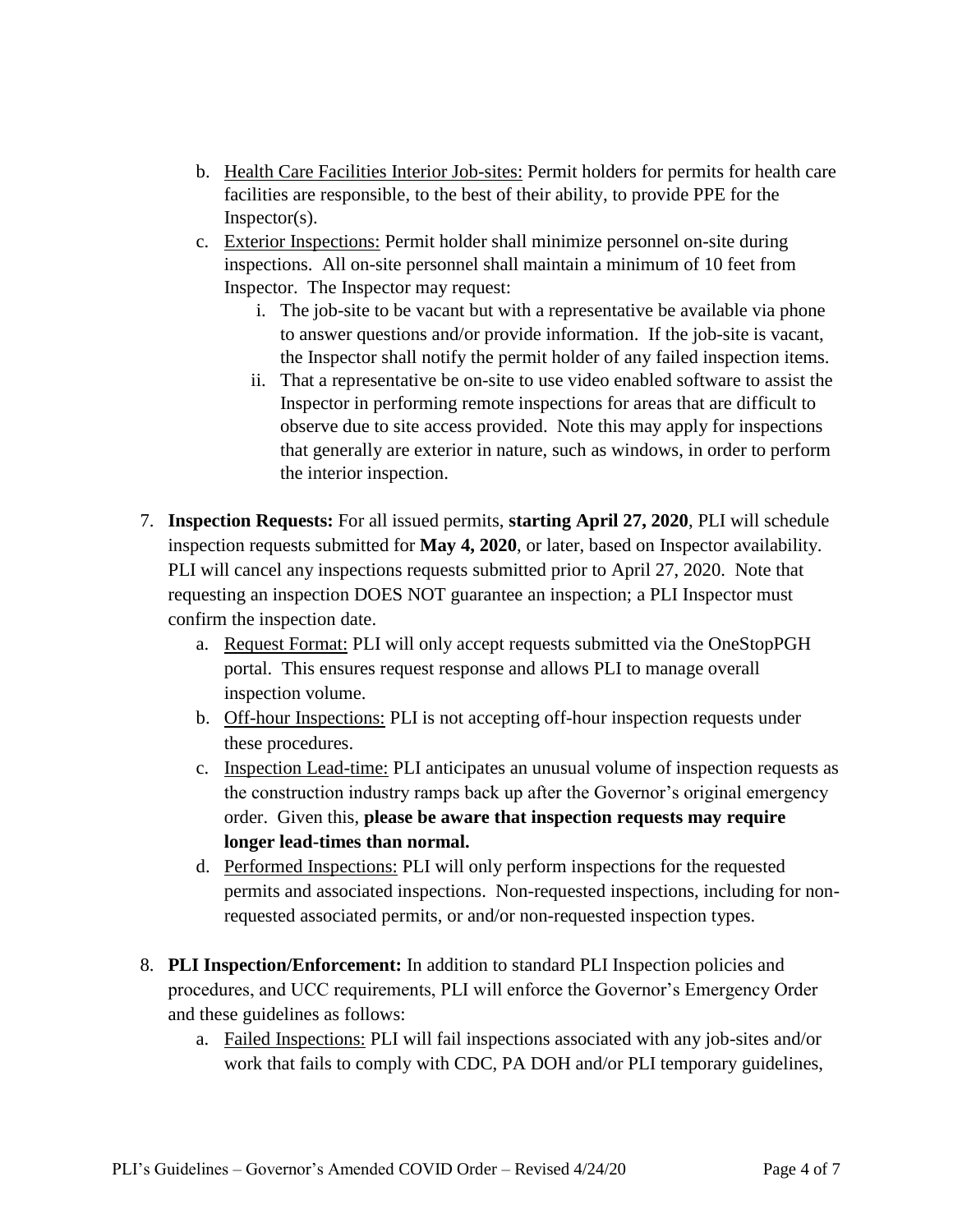- b. Health Care Facilities Interior Job-sites: Permit holders for permits for health care facilities are responsible, to the best of their ability, to provide PPE for the Inspector(s).
- c. Exterior Inspections: Permit holder shall minimize personnel on-site during inspections. All on-site personnel shall maintain a minimum of 10 feet from Inspector. The Inspector may request:
	- i. The job-site to be vacant but with a representative be available via phone to answer questions and/or provide information. If the job-site is vacant, the Inspector shall notify the permit holder of any failed inspection items.
	- ii. That a representative be on-site to use video enabled software to assist the Inspector in performing remote inspections for areas that are difficult to observe due to site access provided. Note this may apply for inspections that generally are exterior in nature, such as windows, in order to perform the interior inspection.
- 7. **Inspection Requests:** For all issued permits, **starting April 27, 2020**, PLI will schedule inspection requests submitted for **May 4, 2020**, or later, based on Inspector availability. PLI will cancel any inspections requests submitted prior to April 27, 2020. Note that requesting an inspection DOES NOT guarantee an inspection; a PLI Inspector must confirm the inspection date.
	- a. Request Format: PLI will only accept requests submitted via the OneStopPGH portal. This ensures request response and allows PLI to manage overall inspection volume.
	- b. Off-hour Inspections: PLI is not accepting off-hour inspection requests under these procedures.
	- c. Inspection Lead-time: PLI anticipates an unusual volume of inspection requests as the construction industry ramps back up after the Governor's original emergency order. Given this, **please be aware that inspection requests may require longer lead-times than normal.**
	- d. Performed Inspections: PLI will only perform inspections for the requested permits and associated inspections. Non-requested inspections, including for nonrequested associated permits, or and/or non-requested inspection types.
- 8. **PLI Inspection/Enforcement:** In addition to standard PLI Inspection policies and procedures, and UCC requirements, PLI will enforce the Governor's Emergency Order and these guidelines as follows:
	- a. Failed Inspections: PLI will fail inspections associated with any job-sites and/or work that fails to comply with CDC, PA DOH and/or PLI temporary guidelines,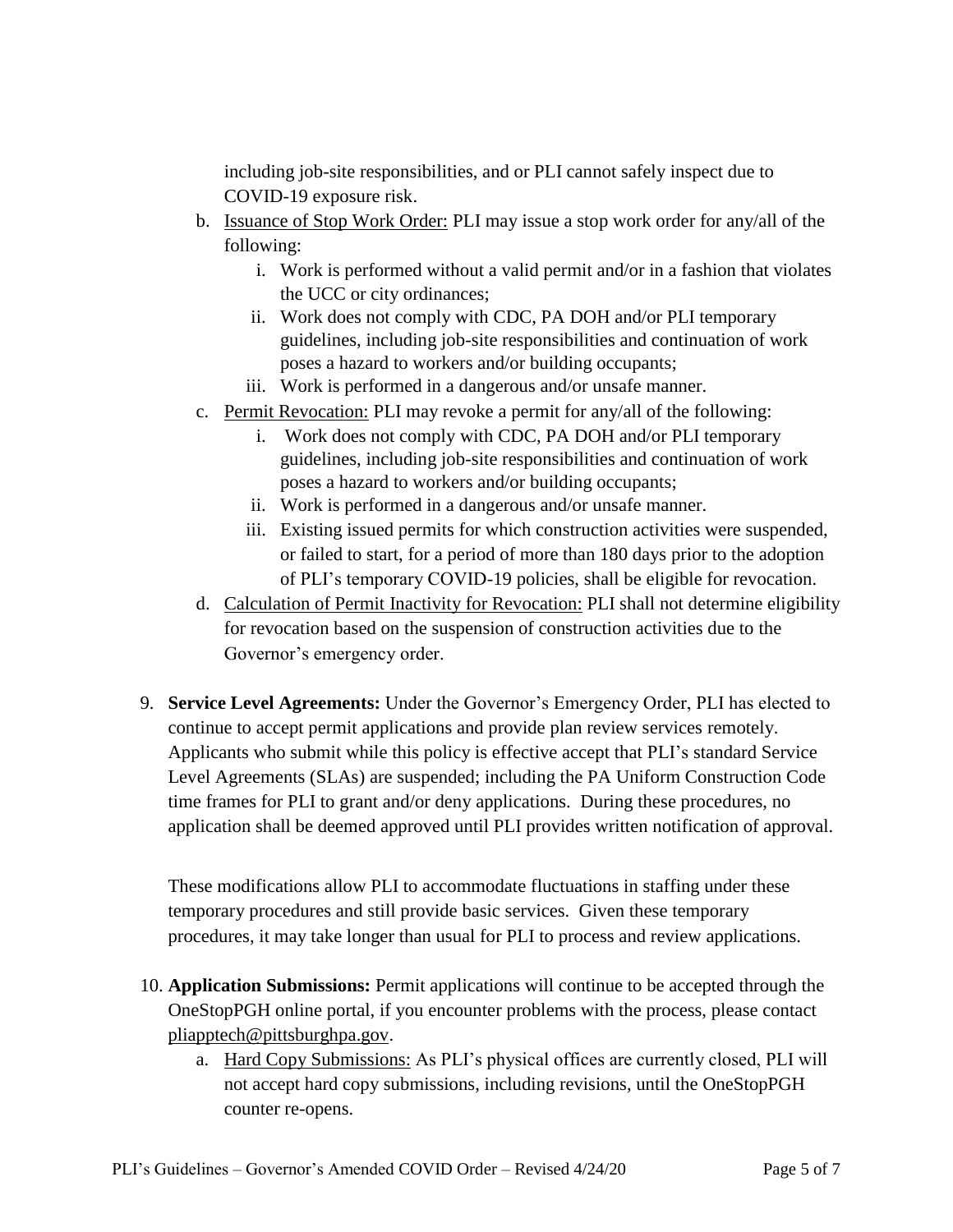including job-site responsibilities, and or PLI cannot safely inspect due to COVID-19 exposure risk.

- b. Issuance of Stop Work Order: PLI may issue a stop work order for any/all of the following:
	- i. Work is performed without a valid permit and/or in a fashion that violates the UCC or city ordinances;
	- ii. Work does not comply with CDC, PA DOH and/or PLI temporary guidelines, including job-site responsibilities and continuation of work poses a hazard to workers and/or building occupants;
	- iii. Work is performed in a dangerous and/or unsafe manner.
- c. Permit Revocation: PLI may revoke a permit for any/all of the following:
	- i. Work does not comply with CDC, PA DOH and/or PLI temporary guidelines, including job-site responsibilities and continuation of work poses a hazard to workers and/or building occupants;
	- ii. Work is performed in a dangerous and/or unsafe manner.
	- iii. Existing issued permits for which construction activities were suspended, or failed to start, for a period of more than 180 days prior to the adoption of PLI's temporary COVID-19 policies, shall be eligible for revocation.
- d. Calculation of Permit Inactivity for Revocation: PLI shall not determine eligibility for revocation based on the suspension of construction activities due to the Governor's emergency order.
- 9. **Service Level Agreements:** Under the Governor's Emergency Order, PLI has elected to continue to accept permit applications and provide plan review services remotely. Applicants who submit while this policy is effective accept that PLI's standard Service Level Agreements (SLAs) are suspended; including the PA Uniform Construction Code time frames for PLI to grant and/or deny applications. During these procedures, no application shall be deemed approved until PLI provides written notification of approval.

These modifications allow PLI to accommodate fluctuations in staffing under these temporary procedures and still provide basic services. Given these temporary procedures, it may take longer than usual for PLI to process and review applications.

- 10. **Application Submissions:** Permit applications will continue to be accepted through the OneStopPGH online portal, if you encounter problems with the process, please contact [pliapptech@pittsburghpa.gov.](mailto:pliapptech@pittsburghpa.gov)
	- a. Hard Copy Submissions: As PLI's physical offices are currently closed, PLI will not accept hard copy submissions, including revisions, until the OneStopPGH counter re-opens.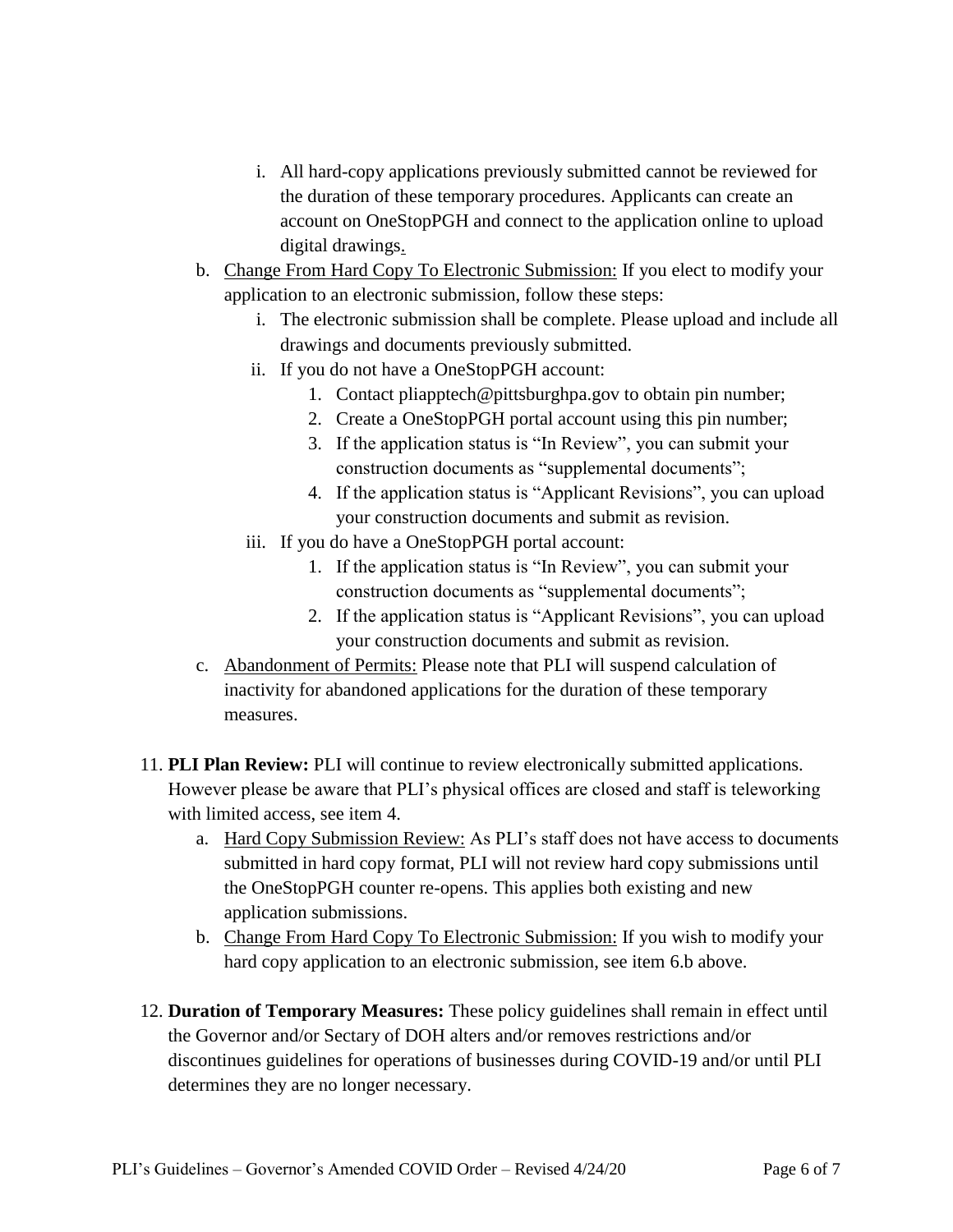- i. All hard-copy applications previously submitted cannot be reviewed for the duration of these temporary procedures. Applicants can create an account on OneStopPGH and connect to the application online to upload digital drawings.
- b. Change From Hard Copy To Electronic Submission: If you elect to modify your application to an electronic submission, follow these steps:
	- i. The electronic submission shall be complete. Please upload and include all drawings and documents previously submitted.
	- ii. If you do not have a OneStopPGH account:
		- 1. Contact pliapptech@pittsburghpa.gov to obtain pin number;
		- 2. Create a OneStopPGH portal account using this pin number;
		- 3. If the application status is "In Review", you can submit your construction documents as "supplemental documents";
		- 4. If the application status is "Applicant Revisions", you can upload your construction documents and submit as revision.
	- iii. If you do have a OneStopPGH portal account:
		- 1. If the application status is "In Review", you can submit your construction documents as "supplemental documents";
		- 2. If the application status is "Applicant Revisions", you can upload your construction documents and submit as revision.
- c. Abandonment of Permits: Please note that PLI will suspend calculation of inactivity for abandoned applications for the duration of these temporary measures.
- 11. **PLI Plan Review:** PLI will continue to review electronically submitted applications. However please be aware that PLI's physical offices are closed and staff is teleworking with limited access, see item 4.
	- a. Hard Copy Submission Review: As PLI's staff does not have access to documents submitted in hard copy format, PLI will not review hard copy submissions until the OneStopPGH counter re-opens. This applies both existing and new application submissions.
	- b. Change From Hard Copy To Electronic Submission: If you wish to modify your hard copy application to an electronic submission, see item 6.b above.
- 12. **Duration of Temporary Measures:** These policy guidelines shall remain in effect until the Governor and/or Sectary of DOH alters and/or removes restrictions and/or discontinues guidelines for operations of businesses during COVID-19 and/or until PLI determines they are no longer necessary.